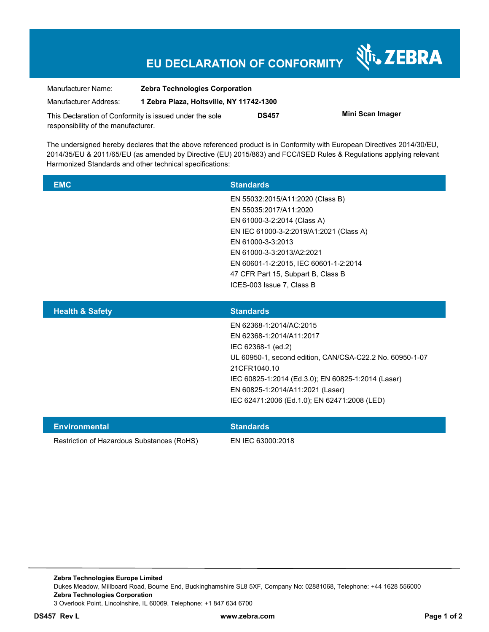## **EU DECLARATION OF CONFORMITY**

Nr. ZEBRA

| Manufacturer Name:                                      | <b>Zebra Technologies Corporation</b>    |              |                  |
|---------------------------------------------------------|------------------------------------------|--------------|------------------|
| Manufacturer Address:                                   | 1 Zebra Plaza, Holtsville, NY 11742-1300 |              |                  |
| This Declaration of Conformity is issued under the sole |                                          | <b>DS457</b> | Mini Scan Imager |
| responsibility of the manufacturer.                     |                                          |              |                  |

The undersigned hereby declares that the above referenced product is in Conformity with European Directives 2014/30/EU, 2014/35/EU & 2011/65/EU (as amended by Directive (EU) 2015/863) and FCC/ISED Rules & Regulations applying relevant Harmonized Standards and other technical specifications:

| <b>EMC</b> | <b>Standards</b>                        |
|------------|-----------------------------------------|
|            | EN 55032:2015/A11:2020 (Class B)        |
|            | EN 55035:2017/A11:2020                  |
|            | EN 61000-3-2:2014 (Class A)             |
|            | EN IEC 61000-3-2:2019/A1:2021 (Class A) |
|            | EN 61000-3-3:2013                       |
|            | EN 61000-3-3:2013/A2:2021               |
|            | EN 60601-1-2:2015, IEC 60601-1-2:2014   |
|            | 47 CFR Part 15, Subpart B, Class B      |
|            | ICES-003 Issue 7, Class B               |
|            |                                         |

| <b>Health &amp; Safety</b> | <b>Standards</b>                                         |
|----------------------------|----------------------------------------------------------|
|                            | EN 62368-1:2014/AC:2015                                  |
|                            | EN 62368-1:2014/A11:2017                                 |
|                            | IEC 62368-1 (ed.2)                                       |
|                            | UL 60950-1, second edition, CAN/CSA-C22.2 No. 60950-1-07 |
|                            | 21CFR1040.10                                             |
|                            | IEC 60825-1:2014 (Ed.3.0); EN 60825-1:2014 (Laser)       |
|                            | EN 60825-1:2014/A11:2021 (Laser)                         |
|                            | IEC 62471:2006 (Ed.1.0); EN 62471:2008 (LED)             |
|                            |                                                          |

| Environmental                              | <b>Standards</b>  |
|--------------------------------------------|-------------------|
| Restriction of Hazardous Substances (RoHS) | EN IEC 63000:2018 |